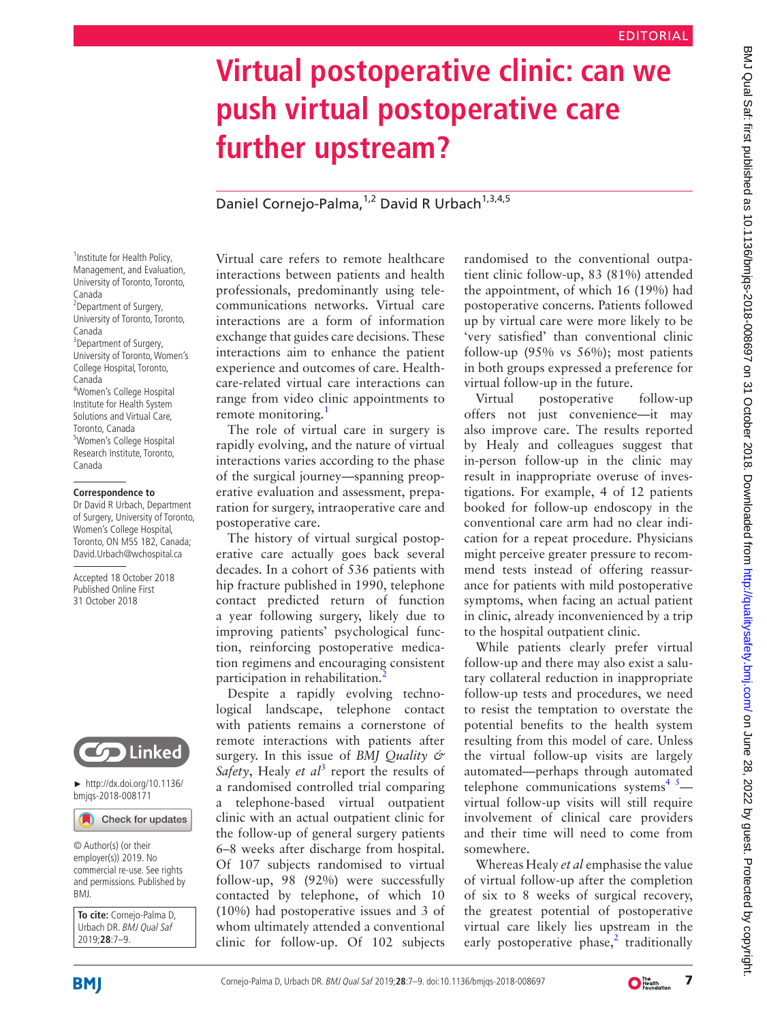# **Virtual postoperative clinic: can we push virtual postoperative care further upstream?**

Daniel Cornejo-Palma,<sup>1,2</sup> David R Urbach<sup>1,3,4,5</sup>

<sup>1</sup> Institute for Health Policy, Management, and Evaluation, University of Toronto, Toronto, Canada <sup>2</sup>Department of Surgery, University of Toronto, Toronto, Canada <sup>3</sup>Department of Surgery, University of Toronto, Women's College Hospital, Toronto, Canada 4 Women's College Hospital Institute for Health System Solutions and Virtual Care, Toronto, Canada 5 Women's College Hospital Research Institute, Toronto, Canada

#### **Correspondence to**

Dr David R Urbach, Department of Surgery, University of Toronto, Women's College Hospital, Toronto, ON M5S 1B2, Canada; David.Urbach@wchospital.ca

Accepted 18 October 2018 Published Online First 31 October 2018



► [http://dx.doi.org/10.1136/](http://dx. doi. org/ 10. 1136/bmjqs-2018-008171) [bmjqs-2018-008171](http://dx. doi. org/ 10. 1136/bmjqs-2018-008171)

Check for updates

© Author(s) (or their employer(s)) 2019. No commercial re-use. See rights and permissions. Published by BMJ.

**To cite:** Cornejo-Palma D, Urbach DR. BMJ Qual Saf 2019;**28**:7–9.

Virtual care refers to remote healthcare interactions between patients and health professionals, predominantly using telecommunications networks. Virtual care interactions are a form of information exchange that guides care decisions. These interactions aim to enhance the patient experience and outcomes of care. Healthcare-related virtual care interactions can range from video clinic appointments to remote monitoring.<sup>[1](#page-1-0)</sup>

The role of virtual care in surgery is rapidly evolving, and the nature of virtual interactions varies according to the phase of the surgical journey—spanning preoperative evaluation and assessment, preparation for surgery, intraoperative care and postoperative care.

The history of virtual surgical postoperative care actually goes back several decades. In a cohort of 536 patients with hip fracture published in 1990, telephone contact predicted return of function a year following surgery, likely due to improving patients' psychological function, reinforcing postoperative medication regimens and encouraging consistent participation in rehabilitation.

Despite a rapidly evolving technological landscape, telephone contact with patients remains a cornerstone of remote interactions with patients after surgery. In this issue of *BMJ Quality &*  Safety, Healy et al<sup>[3](#page-1-2)</sup> report the results of a randomised controlled trial comparing a telephone-based virtual outpatient clinic with an actual outpatient clinic for the follow-up of general surgery patients 6–8 weeks after discharge from hospital. Of 107 subjects randomised to virtual follow-up, 98 (92%) were successfully contacted by telephone, of which 10 (10%) had postoperative issues and 3 of whom ultimately attended a conventional clinic for follow-up. Of 102 subjects

randomised to the conventional outpatient clinic follow-up, 83 (81%) attended the appointment, of which 16 (19%) had postoperative concerns. Patients followed up by virtual care were more likely to be 'very satisfied' than conventional clinic follow-up (95% vs 56%); most patients in both groups expressed a preference for virtual follow-up in the future.

Virtual postoperative follow-up offers not just convenience—it may also improve care. The results reported by Healy and colleagues suggest that in-person follow-up in the clinic may result in inappropriate overuse of investigations. For example, 4 of 12 patients booked for follow-up endoscopy in the conventional care arm had no clear indication for a repeat procedure. Physicians might perceive greater pressure to recommend tests instead of offering reassurance for patients with mild postoperative symptoms, when facing an actual patient in clinic, already inconvenienced by a trip to the hospital outpatient clinic.

While patients clearly prefer virtual follow-up and there may also exist a salutary collateral reduction in inappropriate follow-up tests and procedures, we need to resist the temptation to overstate the potential benefits to the health system resulting from this model of care. Unless the virtual follow-up visits are largely automated—perhaps through automated telephone communications systems<sup>4</sup> $^3$  virtual follow-up visits will still require involvement of clinical care providers and their time will need to come from somewhere.

Whereas Healy *et al* emphasise the value of virtual follow-up after the completion of six to 8 weeks of surgical recovery, the greatest potential of postoperative virtual care likely lies upstream in the early postoperative phase, $2$  traditionally

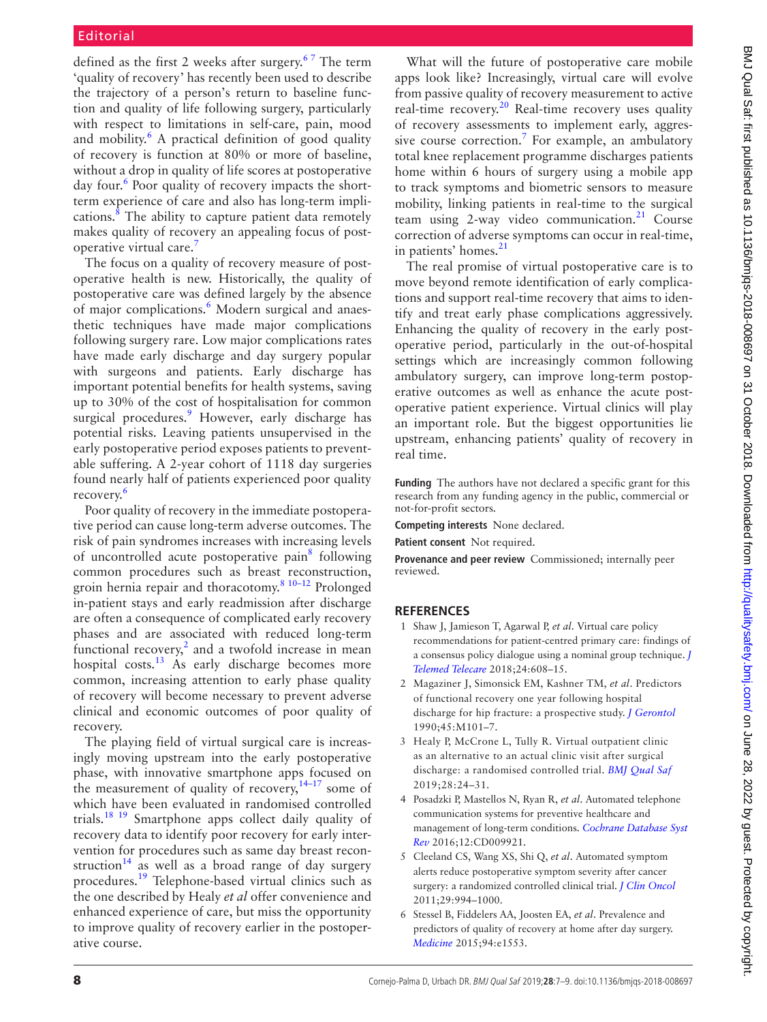## Editorial

defined as the first 2 weeks after surgery.<sup>67</sup> The term 'quality of recovery' has recently been used to describe the trajectory of a person's return to baseline function and quality of life following surgery, particularly with respect to limitations in self-care, pain, mood and mobility.<sup>[6](#page-1-4)</sup> A practical definition of good quality of recovery is function at 80% or more of baseline, without a drop in quality of life scores at postoperative day four.<sup>[6](#page-1-4)</sup> Poor quality of recovery impacts the shortterm experience of care and also has long-term impli-cations.<sup>[8](#page-2-0)</sup> The ability to capture patient data remotely makes quality of recovery an appealing focus of post-operative virtual care.<sup>[7](#page-2-1)</sup>

The focus on a quality of recovery measure of postoperative health is new. Historically, the quality of postoperative care was defined largely by the absence of major complications.<sup>6</sup> Modern surgical and anaesthetic techniques have made major complications following surgery rare. Low major complications rates have made early discharge and day surgery popular with surgeons and patients. Early discharge has important potential benefits for health systems, saving up to 30% of the cost of hospitalisation for common surgical procedures.<sup>[9](#page-2-2)</sup> However, early discharge has potential risks. Leaving patients unsupervised in the early postoperative period exposes patients to preventable suffering. A 2-year cohort of 1118 day surgeries found nearly half of patients experienced poor quality recovery.<sup>6</sup>

Poor quality of recovery in the immediate postoperative period can cause long-term adverse outcomes. The risk of pain syndromes increases with increasing levels of uncontrolled acute postoperative pain<sup>[8](#page-2-0)</sup> following common procedures such as breast reconstruction, groin hernia repair and thoracotomy.[8 10–12](#page-2-0) Prolonged in-patient stays and early readmission after discharge are often a consequence of complicated early recovery phases and are associated with reduced long-term functional recovery, $2$  and a twofold increase in mean hospital costs. $^{13}$  As early discharge becomes more common, increasing attention to early phase quality of recovery will become necessary to prevent adverse clinical and economic outcomes of poor quality of recovery.

The playing field of virtual surgical care is increasingly moving upstream into the early postoperative phase, with innovative smartphone apps focused on the measurement of quality of recovery, $14-17$  some of which have been evaluated in randomised controlled trials.<sup>[18 19](#page-2-5)</sup> Smartphone apps collect daily quality of recovery data to identify poor recovery for early intervention for procedures such as same day breast recon-struction<sup>[14](#page-2-4)</sup> as well as a broad range of day surgery procedures.[19](#page-2-6) Telephone-based virtual clinics such as the one described by Healy *et al* offer convenience and enhanced experience of care, but miss the opportunity to improve quality of recovery earlier in the postoperative course.

What will the future of postoperative care mobile apps look like? Increasingly, virtual care will evolve from passive quality of recovery measurement to active real-time recovery.<sup>[20](#page-2-7)</sup> Real-time recovery uses quality of recovery assessments to implement early, aggres-sive course correction.<sup>[7](#page-2-1)</sup> For example, an ambulatory total knee replacement programme discharges patients home within 6 hours of surgery using a mobile app to track symptoms and biometric sensors to measure mobility, linking patients in real-time to the surgical team using 2-way video communication. $2<sup>1</sup>$  Course correction of adverse symptoms can occur in real-time, in patients' homes.<sup>21</sup>

The real promise of virtual postoperative care is to move beyond remote identification of early complications and support real-time recovery that aims to identify and treat early phase complications aggressively. Enhancing the quality of recovery in the early postoperative period, particularly in the out-of-hospital settings which are increasingly common following ambulatory surgery, can improve long-term postoperative outcomes as well as enhance the acute postoperative patient experience. Virtual clinics will play an important role. But the biggest opportunities lie upstream, enhancing patients' quality of recovery in real time.

**Funding** The authors have not declared a specific grant for this research from any funding agency in the public, commercial or not-for-profit sectors.

**Competing interests** None declared.

**Patient consent** Not required.

**Provenance and peer review** Commissioned; internally peer reviewed.

#### **ReferenceS**

- <span id="page-1-0"></span>1 Shaw J, Jamieson T, Agarwal P, *et al*. Virtual care policy recommendations for patient-centred primary care: findings of a consensus policy dialogue using a nominal group technique. *[J](http://dx.doi.org/10.1177/1357633X17730444)  [Telemed Telecare](http://dx.doi.org/10.1177/1357633X17730444)* 2018;24:608–15.
- <span id="page-1-1"></span>2 Magaziner J, Simonsick EM, Kashner TM, *et al*. Predictors of functional recovery one year following hospital discharge for hip fracture: a prospective study. *[J Gerontol](http://dx.doi.org/10.1093/geronj/45.3.M101)* 1990;45:M101–7.
- <span id="page-1-2"></span>3 Healy P, McCrone L, Tully R. Virtual outpatient clinic as an alternative to an actual clinic visit after surgical discharge: a randomised controlled trial. *[BMJ Qual Saf](http://dx.doi.org/10.1136/bmjqs-2018-008171)* 2019;28:24–31.
- <span id="page-1-3"></span>4 Posadzki P, Mastellos N, Ryan R, *et al*. Automated telephone communication systems for preventive healthcare and management of long-term conditions. *[Cochrane Database Syst](http://dx.doi.org/10.1002/14651858.CD009921.pub2)  [Rev](http://dx.doi.org/10.1002/14651858.CD009921.pub2)* 2016;12:CD009921.
- 5 Cleeland CS, Wang XS, Shi Q, *et al*. Automated symptom alerts reduce postoperative symptom severity after cancer surgery: a randomized controlled clinical trial. *[J Clin Oncol](http://dx.doi.org/10.1200/JCO.2010.29.8315)* 2011;29:994–1000.
- <span id="page-1-4"></span>6 Stessel B, Fiddelers AA, Joosten EA, *et al*. Prevalence and predictors of quality of recovery at home after day surgery. *[Medicine](http://dx.doi.org/10.1097/MD.0000000000001553)* 2015;94:e1553.